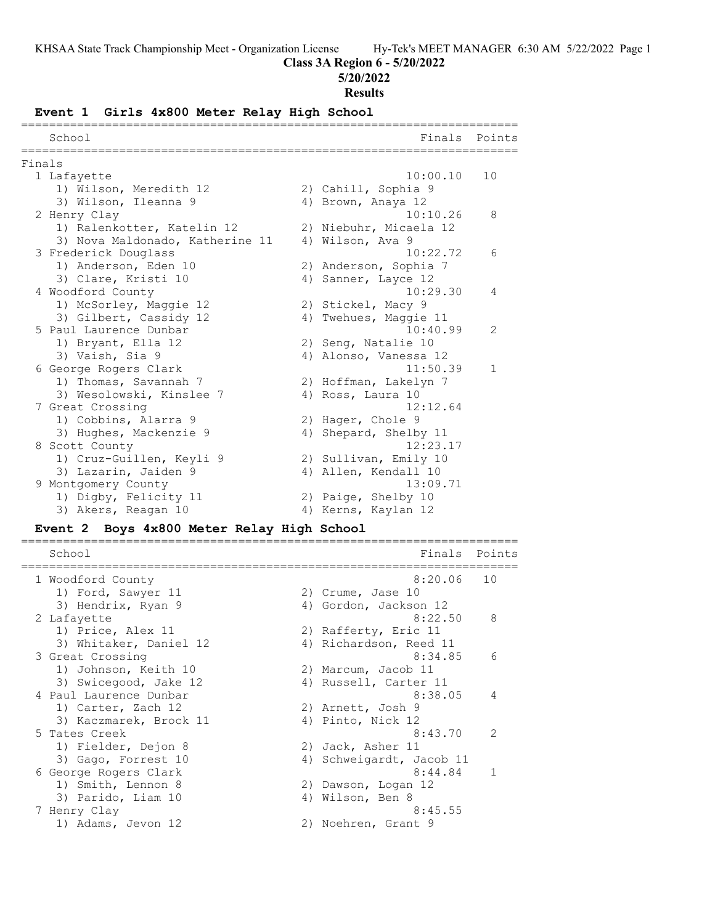# **Class 3A Region 6 - 5/20/2022**

#### **5/20/2022**

#### **Results**

# **Event 1 Girls 4x800 Meter Relay High School**

|        | School                          |    | Finals                 | Points         |
|--------|---------------------------------|----|------------------------|----------------|
| Finals |                                 |    |                        |                |
|        | 1 Lafayette                     |    | 10:00.10               | 10             |
|        | 1) Wilson, Meredith 12          |    | 2) Cahill, Sophia 9    |                |
|        | 3) Wilson, Ileanna 9            |    | 4) Brown, Anaya 12     |                |
|        | 2 Henry Clay                    |    | 10:10.26               | 8              |
|        | 1) Ralenkotter, Katelin 12      |    | 2) Niebuhr, Micaela 12 |                |
|        | 3) Nova Maldonado, Katherine 11 |    | 4) Wilson, Ava 9       |                |
|        | 3 Frederick Douglass            |    | 10:22.72               | 6              |
|        | 1) Anderson, Eden 10            |    | 2) Anderson, Sophia 7  |                |
|        | 3) Clare, Kristi 10             |    | 4) Sanner, Layce 12    |                |
|        | 4 Woodford County               |    | 10:29.30               | 4              |
|        | 1) McSorley, Maggie 12          |    | 2) Stickel, Macy 9     |                |
|        | 3) Gilbert, Cassidy 12          | 4) | Twehues, Maggie 11     |                |
|        | 5 Paul Laurence Dunbar          |    | 10:40.99               | $\overline{2}$ |
|        | 1) Bryant, Ella 12              |    | 2) Seng, Natalie 10    |                |
|        | 3) Vaish, Sia 9                 |    | 4) Alonso, Vanessa 12  |                |
|        | 6 George Rogers Clark           |    | 11:50.39               | $\mathbf{1}$   |
|        | 1) Thomas, Savannah 7           |    | 2) Hoffman, Lakelyn 7  |                |
|        | 3) Wesolowski, Kinslee 7        |    | 4) Ross, Laura 10      |                |
|        | 7 Great Crossing                |    | 12:12.64               |                |
|        | 1) Cobbins, Alarra 9            |    | 2) Hager, Chole 9      |                |
|        | 3) Hughes, Mackenzie 9          |    | 4) Shepard, Shelby 11  |                |
|        | 8 Scott County                  |    | 12:23.17               |                |
|        | 1) Cruz-Guillen, Keyli 9        |    | 2) Sullivan, Emily 10  |                |
|        | 3) Lazarin, Jaiden 9            |    | 4) Allen, Kendall 10   |                |
|        | 9 Montgomery County             |    | 13:09.71               |                |
|        | 1) Digby, Felicity 11           |    | 2) Paige, Shelby 10    |                |
|        | 3) Akers, Reagan 10             |    | 4) Kerns, Kaylan 12    |                |

#### **Event 2 Boys 4x800 Meter Relay High School**

| School                 | Finals                   | Points         |
|------------------------|--------------------------|----------------|
| 1 Woodford County      | 8:20.06                  | 10             |
| 1) Ford, Sawyer 11     | 2) Crume, Jase 10        |                |
| 3) Hendrix, Ryan 9     | 4) Gordon, Jackson 12    |                |
| 2 Lafayette            | 8:22.50                  | 8              |
| 1) Price, Alex 11      | 2) Rafferty, Eric 11     |                |
| 3) Whitaker, Daniel 12 | 4) Richardson, Reed 11   |                |
| 3 Great Crossing       | 8:34.85                  | 6              |
| 1) Johnson, Keith 10   | 2) Marcum, Jacob 11      |                |
| 3) Swicegood, Jake 12  | 4) Russell, Carter 11    |                |
| 4 Paul Laurence Dunbar | 8:38.05                  | $\overline{4}$ |
| 1) Carter, Zach 12     | 2) Arnett, Josh 9        |                |
| 3) Kaczmarek, Brock 11 | 4) Pinto, Nick 12        |                |
| 5 Tates Creek          | 8:43.70                  | $\mathcal{P}$  |
| 1) Fielder, Dejon 8    | 2) Jack, Asher 11        |                |
| 3) Gago, Forrest 10    | 4) Schweigardt, Jacob 11 |                |
| 6 George Rogers Clark  | 8:44.84                  | $\mathbf{1}$   |
| 1) Smith, Lennon 8     | 2) Dawson, Logan 12      |                |
| 3) Parido, Liam 10     | 4) Wilson, Ben 8         |                |
| 7 Henry Clay           | 8:45.55                  |                |
| 1) Adams, Jevon 12     | 2) Noehren, Grant 9      |                |
|                        |                          |                |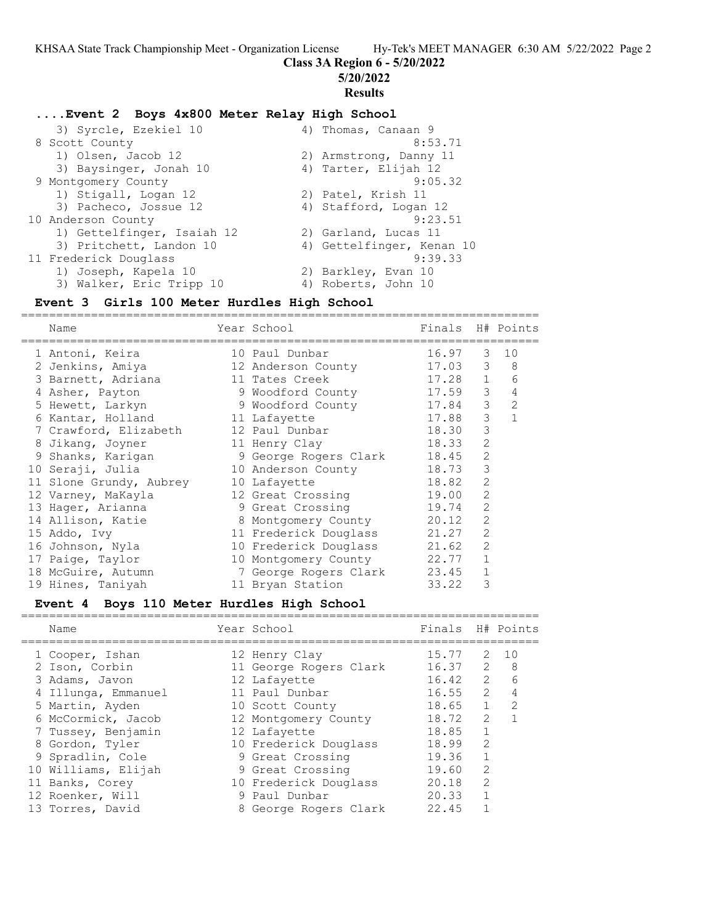**Class 3A Region 6 - 5/20/2022**

**5/20/2022**

# **Results**

# **....Event 2 Boys 4x800 Meter Relay High School**

| 4) Thomas, Canaan 9       |
|---------------------------|
| 8:53.71                   |
| 2) Armstrong, Danny 11    |
| 4) Tarter, Elijah 12      |
| 9:05.32                   |
| 2) Patel, Krish 11        |
| 4) Stafford, Logan 12     |
| 9:23.51                   |
| 2) Garland, Lucas 11      |
| 4) Gettelfinger, Kenan 10 |
| 9:39.33                   |
| 2) Barkley, Evan 10       |
| 4) Roberts, John 10       |
|                           |

# **Event 3 Girls 100 Meter Hurdles High School**

| Name            |                                                                                                                                                                                                                                                                                                                                                                 |                                                                                                                                                                                                                                                                                                   |                                                                                                                     |                                                                                               |
|-----------------|-----------------------------------------------------------------------------------------------------------------------------------------------------------------------------------------------------------------------------------------------------------------------------------------------------------------------------------------------------------------|---------------------------------------------------------------------------------------------------------------------------------------------------------------------------------------------------------------------------------------------------------------------------------------------------|---------------------------------------------------------------------------------------------------------------------|-----------------------------------------------------------------------------------------------|
|                 |                                                                                                                                                                                                                                                                                                                                                                 |                                                                                                                                                                                                                                                                                                   |                                                                                                                     | 10                                                                                            |
|                 |                                                                                                                                                                                                                                                                                                                                                                 |                                                                                                                                                                                                                                                                                                   | 3                                                                                                                   | 8                                                                                             |
|                 |                                                                                                                                                                                                                                                                                                                                                                 |                                                                                                                                                                                                                                                                                                   | $\mathbf{1}$                                                                                                        | 6                                                                                             |
|                 |                                                                                                                                                                                                                                                                                                                                                                 |                                                                                                                                                                                                                                                                                                   | 3                                                                                                                   | 4                                                                                             |
|                 |                                                                                                                                                                                                                                                                                                                                                                 |                                                                                                                                                                                                                                                                                                   | 3                                                                                                                   | $\overline{2}$                                                                                |
| Kantar, Holland |                                                                                                                                                                                                                                                                                                                                                                 |                                                                                                                                                                                                                                                                                                   | 3                                                                                                                   | $\mathbf{1}$                                                                                  |
|                 |                                                                                                                                                                                                                                                                                                                                                                 | 18.30                                                                                                                                                                                                                                                                                             | 3                                                                                                                   |                                                                                               |
|                 |                                                                                                                                                                                                                                                                                                                                                                 |                                                                                                                                                                                                                                                                                                   | $\overline{2}$                                                                                                      |                                                                                               |
| Shanks, Karigan |                                                                                                                                                                                                                                                                                                                                                                 |                                                                                                                                                                                                                                                                                                   | 2                                                                                                                   |                                                                                               |
|                 |                                                                                                                                                                                                                                                                                                                                                                 | 18.73                                                                                                                                                                                                                                                                                             | 3                                                                                                                   |                                                                                               |
|                 |                                                                                                                                                                                                                                                                                                                                                                 | 18.82                                                                                                                                                                                                                                                                                             | $\overline{2}$                                                                                                      |                                                                                               |
|                 |                                                                                                                                                                                                                                                                                                                                                                 | 19.00                                                                                                                                                                                                                                                                                             | $\overline{2}$                                                                                                      |                                                                                               |
|                 |                                                                                                                                                                                                                                                                                                                                                                 | 19.74                                                                                                                                                                                                                                                                                             | $\mathcal{L}$                                                                                                       |                                                                                               |
|                 |                                                                                                                                                                                                                                                                                                                                                                 | 20.12                                                                                                                                                                                                                                                                                             | $\overline{2}$                                                                                                      |                                                                                               |
|                 |                                                                                                                                                                                                                                                                                                                                                                 | 21.27                                                                                                                                                                                                                                                                                             | $\overline{2}$                                                                                                      |                                                                                               |
|                 |                                                                                                                                                                                                                                                                                                                                                                 | 21.62                                                                                                                                                                                                                                                                                             | $\overline{2}$                                                                                                      |                                                                                               |
|                 |                                                                                                                                                                                                                                                                                                                                                                 | 22.77                                                                                                                                                                                                                                                                                             | $\mathbf{1}$                                                                                                        |                                                                                               |
|                 |                                                                                                                                                                                                                                                                                                                                                                 | 23.45                                                                                                                                                                                                                                                                                             | 1                                                                                                                   |                                                                                               |
|                 |                                                                                                                                                                                                                                                                                                                                                                 | 33.22                                                                                                                                                                                                                                                                                             | 3                                                                                                                   |                                                                                               |
| 9               | 1 Antoni, Keira<br>2 Jenkins, Amiya<br>3 Barnett, Adriana<br>4 Asher, Payton<br>5 Hewett, Larkyn<br>7 Crawford, Elizabeth<br>8 Jikang, Joyner<br>10 Seraji, Julia<br>11 Slone Grundy, Aubrey<br>12 Varney, MaKayla<br>13 Hager, Arianna<br>14 Allison, Katie<br>15 Addo, Ivy<br>16 Johnson, Nyla<br>17 Paige, Taylor<br>18 McGuire, Autumn<br>19 Hines, Taniyah | Year School<br>10 Paul Dunbar<br>12 Anderson County<br>11 Tates Creek<br>9 Woodford County<br>11 Lafayette<br>12 Paul Dunbar<br>11 Henry Clay<br>10 Anderson County<br>10 Lafayette<br>12 Great Crossing<br>9 Great Crossing<br>11 Frederick Douglass<br>10 Montgomery County<br>11 Bryan Station | 9 Woodford County<br>9 George Rogers Clark<br>8 Montgomery County<br>10 Frederick Douglass<br>7 George Rogers Clark | Finals H# Points<br>16.97<br>3<br>17.03<br>17.28<br>17.59<br>17.84<br>17.88<br>18.33<br>18.45 |

#### **Event 4 Boys 110 Meter Hurdles High School** ==========================================================================

| Name                | Year School            | Finals H# Points |                |              |
|---------------------|------------------------|------------------|----------------|--------------|
| 1 Cooper, Ishan     | 12 Henry Clay          | 15.77            |                | $2 \quad 10$ |
| 2 Ison, Corbin      | 11 George Rogers Clark | 16.37            | 2              | - 8          |
| 3 Adams, Javon      | 12 Lafayette           | 16.42            | $\overline{2}$ | 6            |
| 4 Illunga, Emmanuel | 11 Paul Dunbar         | 16.55            |                | $2 \quad 4$  |
| 5 Martin, Ayden     | 10 Scott County        | 18.65            | 1              | -2           |
| 6 McCormick, Jacob  | 12 Montgomery County   | 18.72            | $\mathcal{L}$  |              |
| 7 Tussey, Benjamin  | 12 Lafayette           | 18.85            |                |              |
| 8 Gordon, Tyler     | 10 Frederick Douglass  | 18.99            | 2              |              |
| 9 Spradlin, Cole    | 9 Great Crossing       | 19.36            |                |              |
| 10 Williams, Elijah | 9 Great Crossing       | 19.60            | $\mathcal{L}$  |              |
| 11 Banks, Corey     | 10 Frederick Douglass  | 20.18            | 2              |              |
| 12 Roenker, Will    | 9 Paul Dunbar          | 20.33            |                |              |
| 13 Torres, David    | 8 George Rogers Clark  | 22.45            |                |              |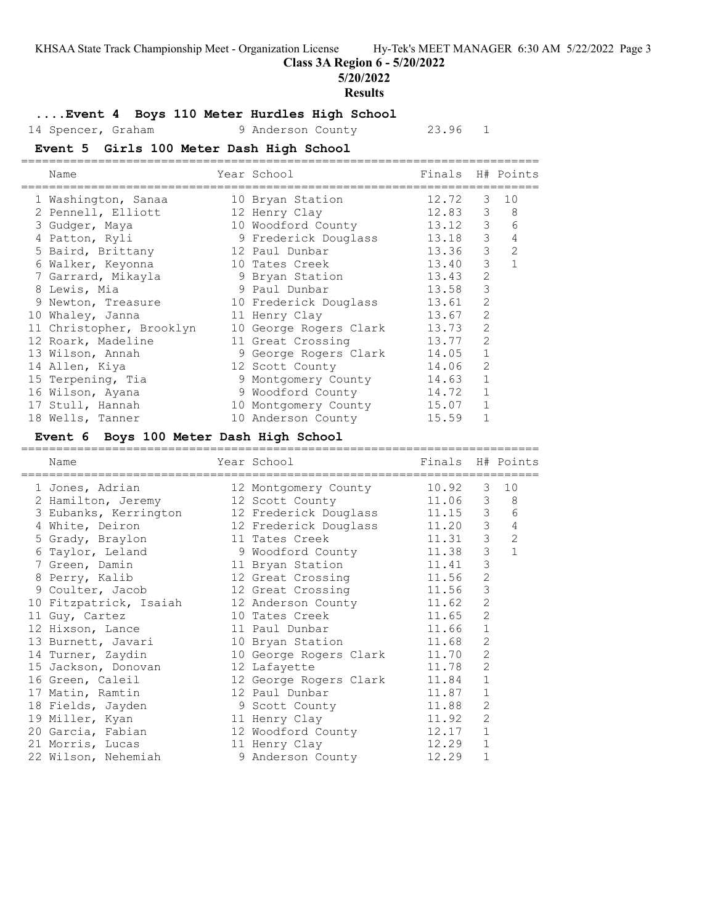**Class 3A Region 6 - 5/20/2022**

**5/20/2022**

#### **Results**

#### **....Event 4 Boys 110 Meter Hurdles High School**

14 Spencer, Graham 9 Anderson County 23.96 1

# **Event 5 Girls 100 Meter Dash High School**

| Name                     | Year School                | Finals H# Points |                |              |
|--------------------------|----------------------------|------------------|----------------|--------------|
| 1 Washington, Sanaa      | 10 Bryan Station           | 12.72            | 3              | 10           |
| 2 Pennell, Elliott       | 12 Henry Clay              | 12.83            | 3              | 8            |
| 3 Gudger, Maya           | 10 Woodford County         | 13.12            | 3              | 6            |
| 4 Patton, Ryli           | 9 Frederick Douglass 13.18 |                  | 3              | 4            |
| 5 Baird, Brittany        | 12 Paul Dunbar             | 13.36            | 3              | 2            |
| 6 Walker, Keyonna        | 10 Tates Creek             | 13.40            | 3              | $\mathbf{1}$ |
| 7 Garrard, Mikayla       | 9 Bryan Station            | 13.43            | $\overline{2}$ |              |
| 8 Lewis, Mia             | 9 Paul Dunbar              | 13.58            | 3              |              |
| 9 Newton, Treasure       | 10 Frederick Douglass      | 13.61            | $\overline{2}$ |              |
| 10 Whaley, Janna         | 11 Henry Clay              | 13.67            | $\overline{2}$ |              |
| 11 Christopher, Brooklyn | 10 George Rogers Clark     | 13.73            | $\overline{2}$ |              |
| 12 Roark, Madeline       | 11 Great Crossing          | 13.77            | $\overline{2}$ |              |
| 13 Wilson, Annah         | 9 George Rogers Clark      | 14.05            | $\mathbf{1}$   |              |
| 14 Allen, Kiya           | 12 Scott County            | 14.06            | $\overline{2}$ |              |
| 15 Terpening, Tia        | 9 Montgomery County        | 14.63            | 1              |              |
| 16 Wilson, Ayana         | 9 Woodford County          | 14.72            |                |              |
| 17 Stull, Hannah         | 10 Montgomery County       | 15.07            |                |              |
| 18 Wells, Tanner         | 10 Anderson County         | 15.59            |                |              |

#### **Event 6 Boys 100 Meter Dash High School**

========================================================================== Name Year School Finals H# Points ========================================================================== 1 Jones, Adrian 12 Montgomery County 10.92 3 10 2 Hamilton, Jeremy 12 Scott County 11.06 3 8 3 Eubanks, Kerrington 12 Frederick Douglass 11.15 3 6 4 White, Deiron 12 Frederick Douglass 11.20 3 4 5 Grady, Braylon 11 Tates Creek 11.31 3 2 6 Taylor, Leland 9 Woodford County 11.38 3 1 7 Green, Damin 11 Bryan Station 11.41 3 8 Perry, Kalib 12 Great Crossing 11.56 2 9 Coulter, Jacob 12 Great Crossing 11.56 3 10 Fitzpatrick, Isaiah 12 Anderson County 11.62 2 11 Guy, Cartez 10 Tates Creek 11.65 2 12 Hixson, Lance 11 Paul Dunbar 11.66 1 13 Burnett, Javari 10 Bryan Station 11.68 2 14 Turner, Zaydin 10 George Rogers Clark 11.70 2 15 Jackson, Donovan 12 Lafayette 11.78 2 16 Green, Caleil 12 George Rogers Clark 11.84 1 17 Matin, Ramtin 12 Paul Dunbar 11.87 1 18 Fields, Jayden 9 Scott County 11.88 2 19 Miller, Kyan 11 Henry Clay 11.92 2 20 Garcia, Fabian 12 Woodford County 12.17 1 21 Morris, Lucas 11 Henry Clay 12.29 1 22 Wilson, Nehemiah 9 Anderson County 12.29 1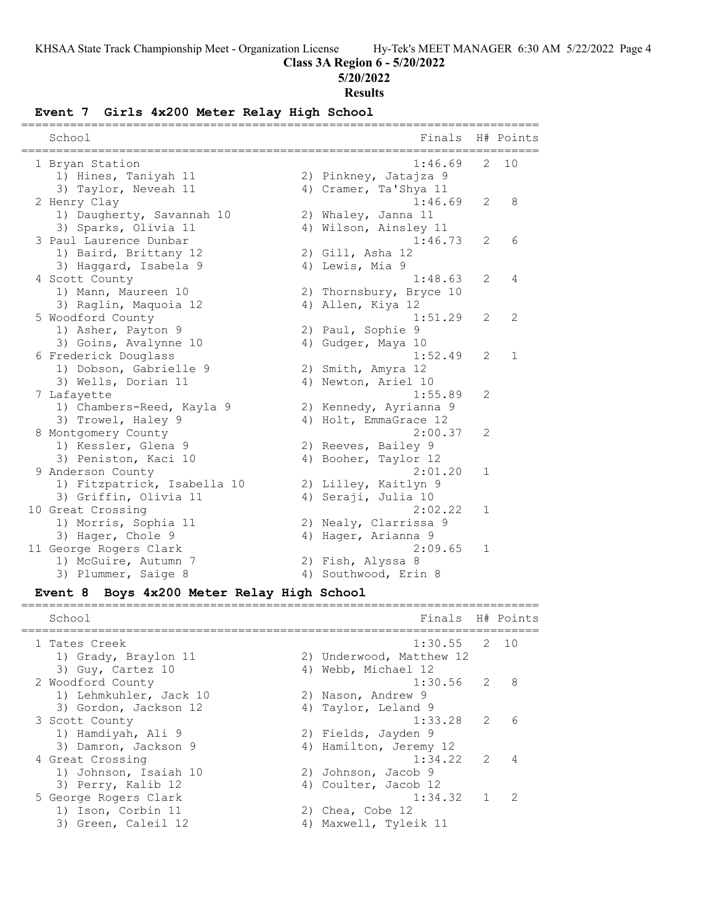#### **Class 3A Region 6 - 5/20/2022**

#### **5/20/2022**

#### **Results**

#### **Event 7 Girls 4x200 Meter Relay High School**

| ====================<br>-------------<br>School                         | ==========================<br>Finals                      |               | H# Points |
|-------------------------------------------------------------------------|-----------------------------------------------------------|---------------|-----------|
| 1 Bryan Station<br>1) Hines, Taniyah 11<br>3) Taylor, Neveah 11         | 1:46.69<br>2) Pinkney, Jatajza 9<br>4) Cramer, Ta'Shya 11 | $\mathcal{L}$ | 10        |
| 2 Henry Clay<br>1) Daugherty, Savannah 10                               | 1:46.69<br>2) Whaley, Janna 11                            | 2             | 8         |
| 3) Sparks, Olivia 11<br>3 Paul Laurence Dunbar<br>1) Baird, Brittany 12 | 4) Wilson, Ainsley 11<br>1:46.73<br>2) Gill, Asha 12      | 2             | 6         |
| 3) Haggard, Isabela 9<br>4 Scott County<br>1) Mann, Maureen 10          | 4) Lewis, Mia 9<br>1:48.63<br>2) Thornsbury, Bryce 10     | 2             | 4         |
| 3) Raglin, Maquoia 12<br>5 Woodford County                              | 4) Allen, Kiya 12<br>1:51.29                              | 2             | 2         |
| 1) Asher, Payton 9<br>3) Goins, Avalynne 10<br>6 Frederick Douglass     | 2) Paul, Sophie 9<br>4) Gudger, Maya 10<br>1:52.49        | 2             | 1         |
| 1) Dobson, Gabrielle 9<br>3) Wells, Dorian 11<br>7 Lafayette            | 2) Smith, Amyra 12<br>4) Newton, Ariel 10<br>1:55.89      | 2             |           |
| 1) Chambers-Reed, Kayla 9<br>3) Trowel, Haley 9                         | 2) Kennedy, Ayrianna 9<br>4) Holt, EmmaGrace 12           |               |           |
| 8 Montgomery County<br>1) Kessler, Glena 9<br>3) Peniston, Kaci 10      | 2:00.37<br>2) Reeves, Bailey 9<br>4) Booher, Taylor 12    | 2             |           |
| 9 Anderson County<br>1) Fitzpatrick, Isabella 10                        | 2:01.20<br>2) Lilley, Kaitlyn 9                           | $\mathbf 1$   |           |
| 3) Griffin, Olivia 11<br>10 Great Crossing<br>1) Morris, Sophia 11      | 4) Seraji, Julia 10<br>2:02.22<br>2) Nealy, Clarrissa 9   | 1             |           |
| 3) Hager, Chole 9<br>11 George Rogers Clark                             | 4) Hager, Arianna 9<br>2:09.65                            | $\mathbf 1$   |           |
| 1) McGuire, Autumn 7<br>3) Plummer, Saige 8                             | 2) Fish, Alyssa 8<br>4) Southwood, Erin 8                 |               |           |

#### **Event 8 Boys 4x200 Meter Relay High School**

School **Finals** H# Points ========================================================================== 1 Tates Creek 1:30.55 2 10 1) Grady, Braylon 11 2) Underwood, Matthew 12 3) Guy, Cartez 10 4) Webb, Michael 12 2 Woodford County 1:30.56 2 8 1) Lehmkuhler, Jack 10 2) Nason, Andrew 9 3) Gordon, Jackson 12 (4) Taylor, Leland 9 3 Scott County 1:33.28 2 6 1) Hamdiyah, Ali 9 2) Fields, Jayden 9 3) Damron, Jackson 9 4) Hamilton, Jeremy 12 4 Great Crossing 1:34.22 2 4 1) Johnson, Isaiah 10 2) Johnson, Jacob 9 3) Perry, Kalib 12 (4) Coulter, Jacob 12 5 George Rogers Clark 1:34.32 1 2 1) Ison, Corbin 11 2) Chea, Cobe 12 3) Green, Caleil 12 4) Maxwell, Tyleik 11

==========================================================================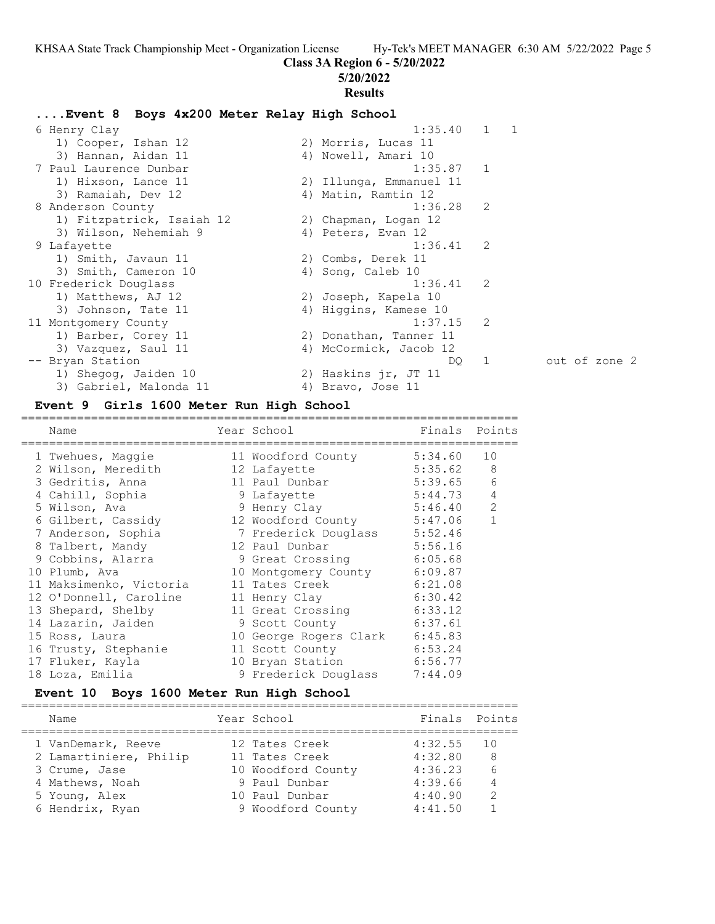**Class 3A Region 6 - 5/20/2022**

# **5/20/2022 Results ....Event 8 Boys 4x200 Meter Relay High School** 6 Henry Clay 1:35.40 1 1 1) Cooper, Ishan 12 2) Morris, Lucas 11 3) Hannan, Aidan 11 1988 (4) Nowell, Amari 10 7 Paul Laurence Dunbar 1:35.87 1 1) Hixson, Lance 11 2) Illunga, Emmanuel 11 3) Ramaiah, Dev 12 (4) Matin, Ramtin 12 8 Anderson County 1:36.28 2 1) Fitzpatrick, Isaiah 12 2) Chapman, Logan 12 3) Wilson, Nehemiah 9 1944 (4) Peters, Evan 12 9 Lafayette 1:36.41 2 1) Smith, Javaun 11 2) Combs, Derek 11 3) Smith, Cameron 10 4) Song, Caleb 10 10 Frederick Douglass 1:36.41 2 1) Matthews, AJ 12 2) Joseph, Kapela 10 3) Johnson, Tate 11 4) Higgins, Kamese 10 11 Montgomery County 1:37.15 2 1) Barber, Corey 11 2) Donathan, Tanner 11 3) Vazquez, Saul 11 4) McCormick, Jacob 12 -- Bryan Station DQ 1 out of zone 2 1) Shegog, Jaiden 10 2) Haskins jr, JT 11 Bryan Station<br>1) Shegog, Jaiden 10 (2) Haskins jr, JT 11<br>3) Gabriel, Malonda 11 (4) Bravo, Jose 11

#### **Event 9 Girls 1600 Meter Run High School**

======================================================================= Name Year School Finals Points ======================================================================= 1 Twehues, Maggie 11 Woodford County 5:34.60 10 2 Wilson, Meredith 12 Lafayette 5:35.62 8 3 Gedritis, Anna 11 Paul Dunbar 5:39.65 6 4 Cahill, Sophia 9 Lafayette 5:44.73 4 5 Wilson, Ava 9 Henry Clay 5:46.40 2 6 Gilbert, Cassidy 12 Woodford County 5:47.06 1 7 Anderson, Sophia 7 Frederick Douglass 5:52.46 8 Talbert, Mandy 12 Paul Dunbar 5:56.16 9 Cobbins, Alarra 9 Great Crossing 6:05.68 10 Plumb, Ava 10 Montgomery County 6:09.87 11 Maksimenko, Victoria 11 Tates Creek 6:21.08 12 O'Donnell, Caroline 11 Henry Clay 6:30.42 13 Shepard, Shelby 11 Great Crossing 6:33.12 14 Lazarin, Jaiden 9 Scott County 6:37.61 15 Ross, Laura 10 George Rogers Clark 6:45.83 16 Trusty, Stephanie 11 Scott County 6:53.24 17 Fluker, Kayla 10 Bryan Station 6:56.77 18 Loza, Emilia 9 Frederick Douglass 7:44.09

#### **Event 10 Boys 1600 Meter Run High School**

| Name                   | Year School        | Finals Points |      |
|------------------------|--------------------|---------------|------|
| 1 VanDemark, Reeve     | 12 Tates Creek     | 4:32.55       | - 10 |
| 2 Lamartiniere, Philip | 11 Tates Creek     | 4:32.80       | -8   |
| 3 Crume, Jase          | 10 Woodford County | 4:36.23       | 6    |
| 4 Mathews, Noah        | 9 Paul Dunbar      | 4:39.66       | 4    |
| 5 Young, Alex          | 10 Paul Dunbar     | 4:40.90       | 2    |
| 6 Hendrix, Ryan        | 9 Woodford County  | 4:41.50       |      |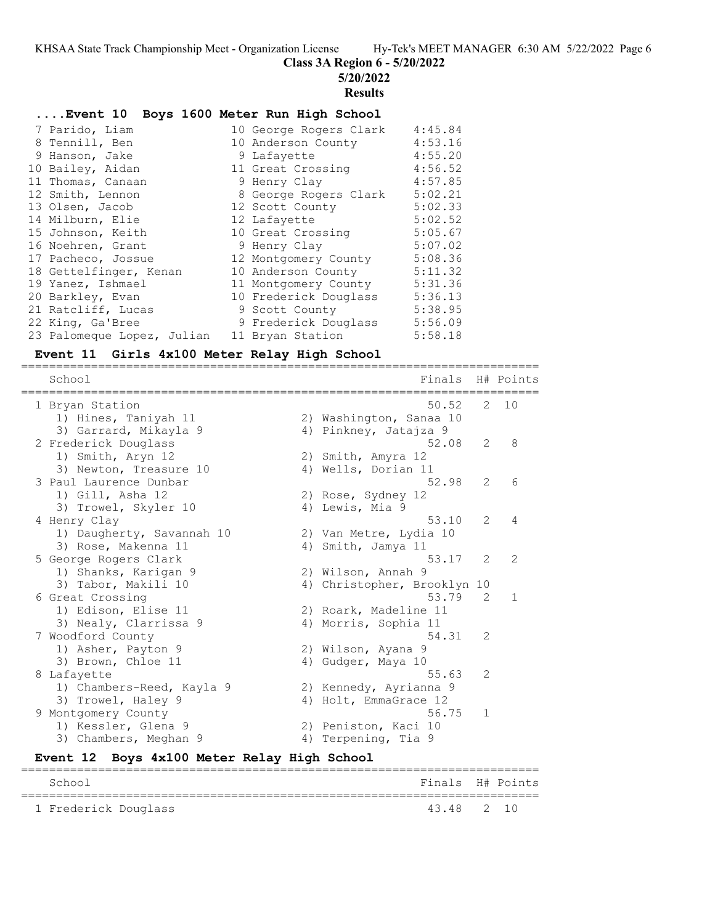**Class 3A Region 6 - 5/20/2022**

**5/20/2022**

#### **Results**

# **....Event 10 Boys 1600 Meter Run High School**

| 7 Parido, Liam             | 10 George Rogers Clark | 4:45.84 |
|----------------------------|------------------------|---------|
| 8 Tennill, Ben             | 10 Anderson County     | 4:53.16 |
| 9 Hanson, Jake             | 9 Lafayette            | 4:55.20 |
| 10 Bailey, Aidan           | 11 Great Crossing      | 4:56.52 |
| 11 Thomas, Canaan          | 9 Henry Clay           | 4:57.85 |
| 12 Smith, Lennon           | 8 George Rogers Clark  | 5:02.21 |
| 13 Olsen, Jacob            | 12 Scott County        | 5:02.33 |
| 14 Milburn, Elie           | 12 Lafayette           | 5:02.52 |
| 15 Johnson, Keith          | 10 Great Crossing      | 5:05.67 |
| 16 Noehren, Grant          | 9 Henry Clay           | 5:07.02 |
| 17 Pacheco, Jossue         | 12 Montgomery County   | 5:08.36 |
| 18 Gettelfinger, Kenan     | 10 Anderson County     | 5:11.32 |
| 19 Yanez, Ishmael          | 11 Montgomery County   | 5:31.36 |
| 20 Barkley, Evan           | 10 Frederick Douglass  | 5:36.13 |
| 21 Ratcliff, Lucas         | 9 Scott County         | 5:38.95 |
| 22 King, Ga'Bree           | 9 Frederick Douglass   | 5:56.09 |
| 23 Palomeque Lopez, Julian | 11 Bryan Station       | 5:58.18 |

#### **Event 11 Girls 4x100 Meter Relay High School**

========================================================================== School Finals H# Points ========================================================================== 1 Bryan Station 50.52 2 10 1) Hines, Taniyah 11 2) Washington, Sanaa 10 3) Garrard, Mikayla 9 4) Pinkney, Jatajza 9 2 Frederick Douglass 52.08 2 8 1) Smith, Aryn 12 2) Smith, Amyra 12 3) Newton, Treasure 10 4) Wells, Dorian 11 3 Paul Laurence Dunbar 52.98 2 6 1) Gill, Asha 12 2) Rose, Sydney 12 3) Trowel, Skyler 10 (4) Lewis, Mia 9 4 Henry Clay 53.10 2 4 1) Daugherty, Savannah 10 2) Van Metre, Lydia 10 3) Rose, Makenna 11 4) Smith, Jamya 11 5 George Rogers Clark 53.17 2 2 1) Shanks, Karigan 9 2) Wilson, Annah 9 3) Tabor, Makili 10 4) Christopher, Brooklyn 10 6 Great Crossing 53.79 2 1 1) Edison, Elise 11 2) Roark, Madeline 11 3) Nealy, Clarrissa 9 (4) Morris, Sophia 11 7 Woodford County 54.31 2 1) Asher, Payton 9 2) Wilson, Ayana 9 3) Brown, Chloe 11 4) Gudger, Maya 10 8 Lafayette 55.63 2 1) Chambers-Reed, Kayla 9 2) Kennedy, Ayrianna 9 3) Trowel, Haley 9 4) Holt, EmmaGrace 12 9 Montgomery County 66.75 1 1) Kessler, Glena 9 2) Peniston, Kaci 10 3) Chambers, Meghan 9 (4) Terpening, Tia 9

#### **Event 12 Boys 4x100 Meter Relay High School** ==========================================================================

| School               | Finals H# Points |  |
|----------------------|------------------|--|
| 1 Frederick Douglass | 43.48 2 10       |  |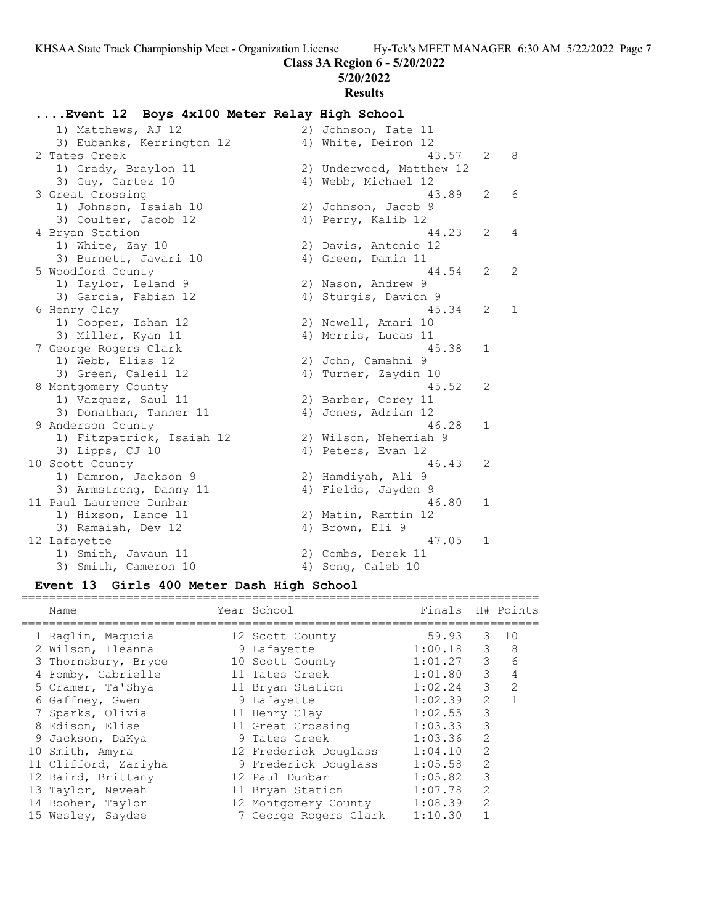#### **Class 3A Region 6 - 5/20/2022**

**5/20/2022**

# **Results**

#### **....Event 12 Boys 4x100 Meter Relay High School**

1) Matthews, AJ 12 2) Johnson, Tate 11 3) Eubanks, Kerrington 12 (4) White, Deiron 12 2 Tates Creek 43.57 2 8 1) Grady, Braylon 11 2) Underwood, Matthew 12 3) Guy, Cartez 10 4) Webb, Michael 12 3 Great Crossing 43.89 2 6 1) Johnson, Isaiah 10 2) Johnson, Jacob 9 3) Coulter, Jacob 12 (4) Perry, Kalib 12 4 Bryan Station 44.23 2 4 1) White, Zay 10 2) Davis, Antonio 12 3) Burnett, Javari 10 (4) Green, Damin 11 5 Woodford County 44.54 2 2 1) Taylor, Leland 9 2) Nason, Andrew 9 3) Garcia, Fabian 12 (4) Sturgis, Davion 9 6 Henry Clay 45.34 2 1 1) Cooper, Ishan 12 2) Nowell, Amari 10 3) Miller, Kyan 11 4) Morris, Lucas 11 7 George Rogers Clark 45.38 1 1) Webb, Elias 12 2) John, Camahni 9 3) Green, Caleil 12 (4) Turner, Zaydin 10 8 Montgomery County 45.52 2 1) Vazquez, Saul 11 2) Barber, Corey 11 3) Donathan, Tanner 11 (4) Jones, Adrian 12 9 Anderson County 46.28 1 1) Fitzpatrick, Isaiah 12 2) Wilson, Nehemiah 9 3) Lipps, CJ 10 4) Peters, Evan 12 10 Scott County 46.43 2 1) Damron, Jackson 9 2) Hamdiyah, Ali 9 3) Armstrong, Danny 11 (4) Fields, Jayden 9 11 Paul Laurence Dunbar 16 and 16.80 16.80 16 1) Hixson, Lance 11 2) Matin, Ramtin 12 3) Ramaiah, Dev 12 (4) Brown, Eli 9 12 Lafayette 47.05 1 1) Smith, Javaun 11 2) Combs, Derek 11 3) Smith, Cameron 10 4) Song, Caleb 10

#### **Event 13 Girls 400 Meter Dash High School**

| Name                 | Year School           | Finals  |               | H# Points     |
|----------------------|-----------------------|---------|---------------|---------------|
| 1 Raglin, Maguoia    | 12 Scott County       | 59.93   | 3             | 10            |
| 2 Wilson, Ileanna    | 9 Lafayette           | 1:00.18 | 3             | 8             |
| 3 Thornsbury, Bryce  | 10 Scott County       | 1:01.27 | 3             | 6             |
| 4 Fomby, Gabrielle   | 11 Tates Creek        | 1:01.80 | 3             | 4             |
| 5 Cramer, Ta'Shya    | 11 Bryan Station      | 1:02.24 | 3             | $\mathcal{L}$ |
| 6 Gaffney, Gwen      | 9 Lafayette           | 1:02.39 | $\mathcal{L}$ |               |
| 7 Sparks, Olivia     | 11 Henry Clay         | 1:02.55 | 3             |               |
| 8 Edison, Elise      | 11 Great Crossing     | 1:03.33 | 3             |               |
| 9 Jackson, DaKya     | 9 Tates Creek         | 1:03.36 | $\mathcal{L}$ |               |
| 10 Smith, Amyra      | 12 Frederick Douglass | 1:04.10 | 2             |               |
| 11 Clifford, Zariyha | 9 Frederick Douglass  | 1:05.58 | 2             |               |
| 12 Baird, Brittany   | 12 Paul Dunbar        | 1:05.82 | 3             |               |
| 13 Taylor, Neveah    | 11 Bryan Station      | 1:07.78 | $\mathcal{L}$ |               |
| 14 Booher, Taylor    | 12 Montgomery County  | 1:08.39 | $\mathcal{L}$ |               |
| 15 Wesley, Saydee    | 7 George Rogers Clark | 1:10.30 |               |               |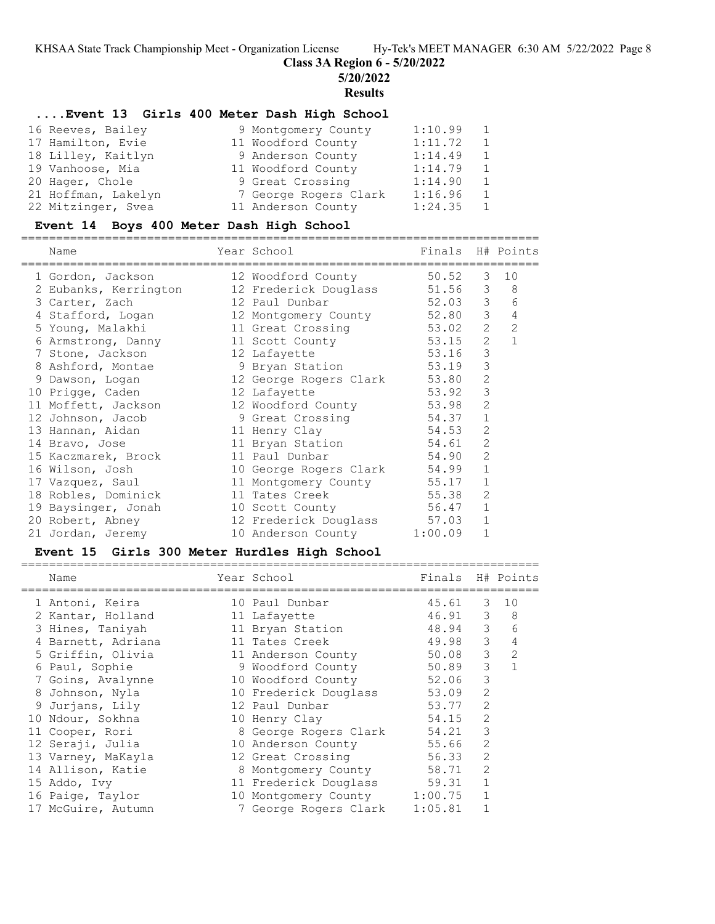**Class 3A Region 6 - 5/20/2022**

**5/20/2022**

**Results**

#### **....Event 13 Girls 400 Meter Dash High School**

| 9 Montgomery County   | 1:10.99 | 1              |
|-----------------------|---------|----------------|
| 11 Woodford County    | 1:11.72 | $\overline{1}$ |
| 9 Anderson County     | 1:14.49 | $\overline{1}$ |
| 11 Woodford County    | 1:14.79 | 1              |
| 9 Great Crossing      | 1:14.90 | $\overline{1}$ |
| 7 George Rogers Clark | 1:16.96 | $\overline{1}$ |
| 11 Anderson County    | 1:24.35 | 1              |
|                       |         |                |

#### **Event 14 Boys 400 Meter Dash High School**

========================================================================== Year School

|  | <b>Nallle</b>         | IEAL SCHOOT                  | F THATS |                | N# POINCS      |
|--|-----------------------|------------------------------|---------|----------------|----------------|
|  | 1 Gordon, Jackson     | 12 Woodford County           | 50.52   | 3              | 10             |
|  | 2 Eubanks, Kerrington | 12 Frederick Douglass 51.56  |         | $\mathcal{S}$  | 8              |
|  | 3 Carter, Zach        | 12 Paul Dunbar               | 52.03 3 |                | 6              |
|  | 4 Stafford, Logan     | 12 Montgomery County 52.80   |         | 3              | $\overline{4}$ |
|  | 5 Young, Malakhi      | 11 Great Crossing 53.02      |         | 2              | 2              |
|  | 6 Armstrong, Danny    | 11 Scott County 53.15        |         | 2              |                |
|  | 7 Stone, Jackson      | 12 Lafayette                 | 53.16   | 3              |                |
|  | 8 Ashford, Montae     | 9 Bryan Station 53.19        |         | 3              |                |
|  | 9 Dawson, Logan       | 12 George Rogers Clark 53.80 |         | $\overline{2}$ |                |
|  | 10 Prigge, Caden      | 12 Lafayette                 | 53.92   | 3              |                |
|  | 11 Moffett, Jackson   | 12 Woodford County 53.98     |         | $\overline{2}$ |                |
|  | 12 Johnson, Jacob     | 9 Great Crossing 54.37       |         | $\mathbf{1}$   |                |
|  | 13 Hannan, Aidan      | 11 Henry Clay                | 54.53   | $\overline{2}$ |                |
|  | 14 Bravo, Jose        | 11 Bryan Station             | 54.61   | 2              |                |
|  | 15 Kaczmarek, Brock   | 11 Paul Dunbar               | 54.90   | 2              |                |
|  | 16 Wilson, Josh       | 10 George Rogers Clark 54.99 |         | $\mathbf{1}$   |                |
|  | 17 Vazquez, Saul      | 11 Montgomery County 55.17   |         | 1              |                |
|  | 18 Robles, Dominick   | 11 Tates Creek 55.38         |         | 2              |                |
|  | 19 Baysinger, Jonah   | 10 Scott County              | 56.47   | $\mathbf{1}$   |                |
|  | 20 Robert, Abney      | 12 Frederick Douglass 57.03  |         | $\mathbf{1}$   |                |
|  | 21 Jordan, Jeremy     | 10 Anderson County 1:00.09   |         | $\mathbf 1$    |                |
|  |                       |                              |         |                |                |

#### **Event 15 Girls 300 Meter Hurdles High School**

| Name               |  |                                                                                                                                                                                                                                                                                                                                                              |                       |                                                                     |
|--------------------|--|--------------------------------------------------------------------------------------------------------------------------------------------------------------------------------------------------------------------------------------------------------------------------------------------------------------------------------------------------------------|-----------------------|---------------------------------------------------------------------|
| 1 Antoni, Keira    |  |                                                                                                                                                                                                                                                                                                                                                              |                       | 10                                                                  |
| 2 Kantar, Holland  |  |                                                                                                                                                                                                                                                                                                                                                              |                       | - 8                                                                 |
| 3 Hines, Taniyah   |  |                                                                                                                                                                                                                                                                                                                                                              |                       | 6                                                                   |
| 4 Barnett, Adriana |  |                                                                                                                                                                                                                                                                                                                                                              | 3                     | 4                                                                   |
| 5 Griffin, Olivia  |  | 50.08                                                                                                                                                                                                                                                                                                                                                        | 3                     | 2                                                                   |
| 6 Paul, Sophie     |  | 50.89                                                                                                                                                                                                                                                                                                                                                        | 3                     |                                                                     |
| 7 Goins, Avalynne  |  | 52.06                                                                                                                                                                                                                                                                                                                                                        | 3                     |                                                                     |
| 8 Johnson, Nyla    |  | 53.09                                                                                                                                                                                                                                                                                                                                                        | 2                     |                                                                     |
| 9 Jurjans, Lily    |  | 53.77                                                                                                                                                                                                                                                                                                                                                        | 2                     |                                                                     |
| 10 Ndour, Sokhna   |  | 54.15                                                                                                                                                                                                                                                                                                                                                        | 2                     |                                                                     |
| 11 Cooper, Rori    |  | 54.21                                                                                                                                                                                                                                                                                                                                                        | 3                     |                                                                     |
| 12 Seraji, Julia   |  | 55.66                                                                                                                                                                                                                                                                                                                                                        | 2                     |                                                                     |
| 13 Varney, MaKayla |  | 56.33                                                                                                                                                                                                                                                                                                                                                        | $\overline{2}$        |                                                                     |
| 14 Allison, Katie  |  | 58.71                                                                                                                                                                                                                                                                                                                                                        | 2                     |                                                                     |
| 15 Addo, Ivy       |  | 59.31                                                                                                                                                                                                                                                                                                                                                        | 1                     |                                                                     |
| 16 Paige, Taylor   |  | 1:00.75                                                                                                                                                                                                                                                                                                                                                      |                       |                                                                     |
| 17 McGuire, Autumn |  | 1:05.81                                                                                                                                                                                                                                                                                                                                                      |                       |                                                                     |
|                    |  | Year School<br>10 Paul Dunbar<br>11 Lafayette<br>11 Bryan Station<br>11 Tates Creek<br>11 Anderson County<br>9 Woodford County<br>10 Woodford County<br>10 Frederick Douglass<br>12 Paul Dunbar<br>10 Henry Clay<br>8 George Rogers Clark<br>10 Anderson County<br>12 Great Crossing<br>8 Montgomery County<br>10 Montgomery County<br>7 George Rogers Clark | 11 Frederick Douglass | Finals H# Points<br>3<br>45.61<br>3<br>46.91<br>3<br>48.94<br>49.98 |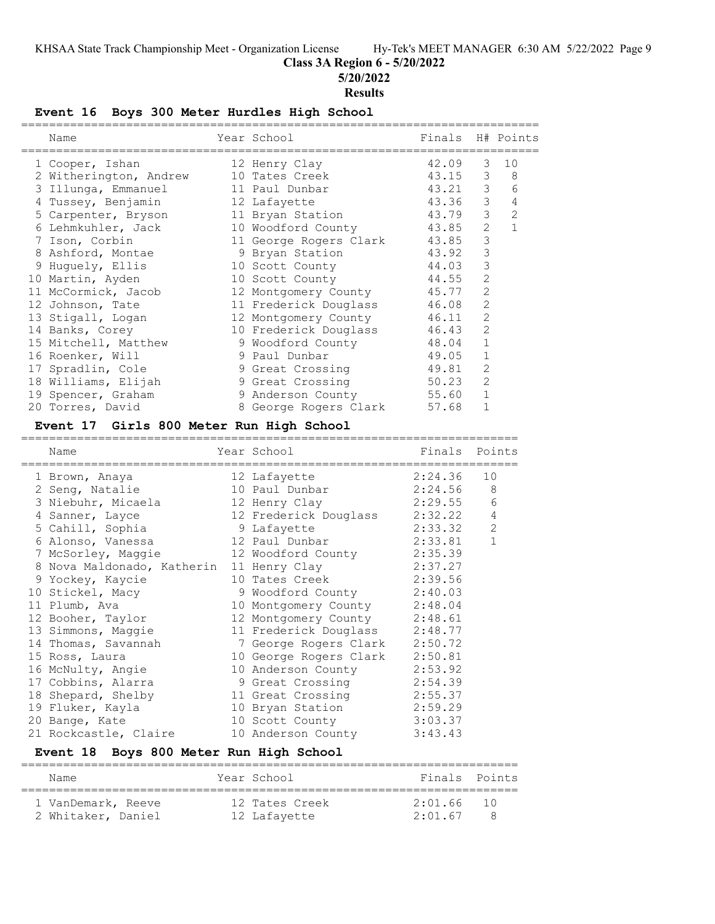#### **Class 3A Region 6 - 5/20/2022**

**5/20/2022**

#### **Results**

#### **Event 16 Boys 300 Meter Hurdles High School**

|   | Name                   | Year School                  | Finals H# Points |                |                |
|---|------------------------|------------------------------|------------------|----------------|----------------|
|   | 1 Cooper, Ishan        | 12 Henry Clay                | 42.09            | 3              | 10             |
|   | 2 Witherington, Andrew | 10 Tates Creek               | 43.15            | 3              | 8              |
|   | 3 Illunga, Emmanuel    | 11 Paul Dunbar               | 43.21            | 3              | 6              |
|   | 4 Tussey, Benjamin     | 12 Lafayette                 | 43.36            | 3              | 4              |
|   | 5 Carpenter, Bryson    | 11 Bryan Station             | 43.79            | 3              | $\overline{2}$ |
|   | 6 Lehmkuhler, Jack     | 10 Woodford County           | 43.85            | 2              |                |
| 7 | Ison, Corbin           | 11 George Rogers Clark 43.85 |                  | 3              |                |
|   | 8 Ashford, Montae      | 9 Bryan Station              | 43.92            | 3              |                |
|   | 9 Huquely, Ellis       | 10 Scott County              | 44.03            | 3              |                |
|   | 10 Martin, Ayden       | 10 Scott County              | 44.55            | $\overline{2}$ |                |
|   | 11 McCormick, Jacob    | 12 Montgomery County         | 45.77            | $\overline{2}$ |                |
|   | 12 Johnson, Tate       | 11 Frederick Douglass        | 46.08            | $\overline{2}$ |                |
|   | 13 Stigall, Logan      | 12 Montgomery County         | 46.11            | $\overline{2}$ |                |
|   | 14 Banks, Corey        | 10 Frederick Douglass        | 46.43            | $\overline{2}$ |                |
|   | 15 Mitchell, Matthew   | 9 Woodford County            | 48.04            | $\mathbf{1}$   |                |
|   | 16 Roenker, Will       | 9 Paul Dunbar                | 49.05            | $\mathbf{1}$   |                |
|   | 17 Spradlin, Cole      | 9 Great Crossing             | 49.81            | $\overline{2}$ |                |
|   | 18 Williams, Elijah    | 9 Great Crossing             | 50.23            | 2              |                |
|   | 19 Spencer, Graham     | 9 Anderson County            | 55.60            | $\mathbf{1}$   |                |
|   | 20 Torres, David       | 8 George Rogers Clark        | 57.68            |                |                |
|   |                        |                              |                  |                |                |

# **Event 17 Girls 800 Meter Run High School**

=======================================================================

| Name                                             | Year School                   | Finals  | Points         |
|--------------------------------------------------|-------------------------------|---------|----------------|
| 1 Brown, Anaya                                   | 12 Lafayette                  | 2:24.36 | 10             |
| 2 Seng, Natalie                                  | 10 Paul Dunbar                | 2:24.56 | - 8            |
| 3 Niebuhr, Micaela                               | 12 Henry Clay                 | 2:29.55 | $\epsilon$     |
| 4 Sanner, Layce                                  | 12 Frederick Douglass 2:32.22 |         | $\sqrt{4}$     |
| 5 Cahill, Sophia                                 | 9 Lafayette                   | 2:33.32 | $\overline{c}$ |
| 6 Alonso, Vanessa                                | 12 Paul Dunbar                | 2:33.81 | $\mathbf{1}$   |
| 7 McSorley, Maggie                               | 12 Woodford County 2:35.39    |         |                |
| 8 Nova Maldonado, Katherin 11 Henry Clay 2:37.27 |                               |         |                |
| 9 Yockey, Kaycie                                 | 10 Tates Creek 2:39.56        |         |                |
| 10 Stickel, Macy                                 | 9 Woodford County 2:40.03     |         |                |
| 11 Plumb, Ava                                    | 10 Montgomery County 2:48.04  |         |                |
| 12 Booher, Taylor                                | 12 Montgomery County 2:48.61  |         |                |
| 13 Simmons, Maggie                               | 11 Frederick Douglass 2:48.77 |         |                |
| 14 Thomas, Savannah                              | 7 George Rogers Clark 2:50.72 |         |                |
| 15 Ross, Laura                                   | 10 George Rogers Clark        | 2:50.81 |                |
| 16 McNulty, Angie                                | 10 Anderson County            | 2:53.92 |                |
| 17 Cobbins, Alarra                               | 9 Great Crossing              | 2:54.39 |                |
| 18 Shepard, Shelby                               | 11 Great Crossing             | 2:55.37 |                |
| 19 Fluker, Kayla                                 | 10 Bryan Station 2:59.29      |         |                |
| 20 Bange, Kate                                   | 10 Scott County               | 3:03.37 |                |
| 21 Rockcastle, Claire                            | 10 Anderson County            | 3:43.43 |                |

#### **Event 18 Boys 800 Meter Run High School**

======================================================================= Name Year School Finals Points ======================================================================= 1 VanDemark, Reeve 12 Tates Creek 2:01.66 10 2 Whitaker, Daniel 12 Lafayette 2:01.67 8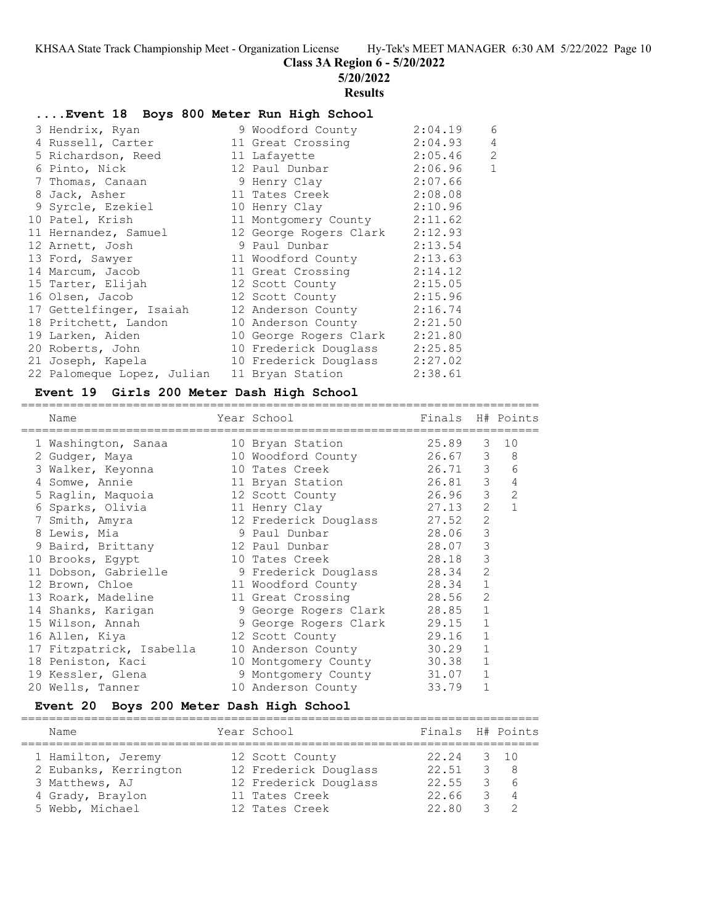**Class 3A Region 6 - 5/20/2022**

**5/20/2022**

# **Results**

#### **....Event 18 Boys 800 Meter Run High School**

|  | 3 Hendrix, Ryan            | 9 Woodford County              | 2:04.19 | 6              |
|--|----------------------------|--------------------------------|---------|----------------|
|  | 4 Russell, Carter          | 11 Great Crossing              | 2:04.93 | 4              |
|  | 5 Richardson, Reed         | 11 Lafayette                   | 2:05.46 | $\overline{c}$ |
|  | 6 Pinto, Nick              | 12 Paul Dunbar                 | 2:06.96 | $1\,$          |
|  | 7 Thomas, Canaan           | 9 Henry Clay                   | 2:07.66 |                |
|  | 8 Jack, Asher              | 11 Tates Creek                 | 2:08.08 |                |
|  | 9 Syrcle, Ezekiel          | 10 Henry Clay 2:10.96          |         |                |
|  | 10 Patel, Krish            | 11 Montgomery County 2:11.62   |         |                |
|  | 11 Hernandez, Samuel       | 12 George Rogers Clark         | 2:12.93 |                |
|  | 12 Arnett, Josh            | 9 Paul Dunbar                  | 2:13.54 |                |
|  | 13 Ford, Sawyer            | 11 Woodford County             | 2:13.63 |                |
|  | 14 Marcum, Jacob           | 11 Great Crossing              | 2:14.12 |                |
|  | 15 Tarter, Elijah          | 12 Scott County 2:15.05        |         |                |
|  | 16 Olsen, Jacob            | 12 Scott County 2:15.96        |         |                |
|  | 17 Gettelfinger, Isaiah    | 12 Anderson County 2:16.74     |         |                |
|  | 18 Pritchett, Landon       | 10 Anderson County             | 2:21.50 |                |
|  | 19 Larken, Aiden           | 10 George Rogers Clark 2:21.80 |         |                |
|  | 20 Roberts, John           | 10 Frederick Douglass 2:25.85  |         |                |
|  | 21 Joseph, Kapela          | 10 Frederick Douglass 2:27.02  |         |                |
|  | 22 Palomeque Lopez, Julian | 11 Bryan Station               | 2:38.61 |                |
|  |                            |                                |         |                |

#### **Event 19 Girls 200 Meter Dash High School**

| Name                     | Year School           | Finals H# Points |                |                |
|--------------------------|-----------------------|------------------|----------------|----------------|
| 1 Washington, Sanaa      | 10 Bryan Station      | 25.89            | 3              | 10             |
| 2 Gudger, Maya           | 10 Woodford County    | 26.67            | 3              | 8              |
| 3 Walker, Keyonna        | 10 Tates Creek        | 26.71            | $\mathcal{S}$  | 6              |
| 4 Somwe, Annie           | 11 Bryan Station      | 26.81            | $\mathcal{S}$  | $\overline{4}$ |
| 5 Raglin, Maguoia        | 12 Scott County       | 26.96            | $\mathcal{S}$  | $\overline{2}$ |
| 6 Sparks, Olivia         | 11 Henry Clay         | 27.13            | $\overline{2}$ | $\mathbf{1}$   |
| 7 Smith, Amyra           | 12 Frederick Douglass | 27.52            | $\overline{2}$ |                |
| 8 Lewis, Mia             | 9 Paul Dunbar         | 28.06            | 3              |                |
| 9 Baird, Brittany        | 12 Paul Dunbar        | 28.07            | 3              |                |
| 10 Brooks, Eqypt         | 10 Tates Creek        | 28.18            | 3              |                |
| 11 Dobson, Gabrielle     | 9 Frederick Douglass  | 28.34            | $\overline{2}$ |                |
| 12 Brown, Chloe          | 11 Woodford County    | 28.34            | $\mathbf{1}$   |                |
| 13 Roark, Madeline       | 11 Great Crossing     | 28.56            | 2              |                |
| 14 Shanks, Karigan       | 9 George Rogers Clark | 28.85            | $\mathbf{1}$   |                |
| 15 Wilson, Annah         | 9 George Rogers Clark | 29.15            | $\mathbf{1}$   |                |
| 16 Allen, Kiya           | 12 Scott County       | 29.16            | $\mathbf{1}$   |                |
| 17 Fitzpatrick, Isabella | 10 Anderson County    | 30.29            | 1              |                |
| 18 Peniston, Kaci        | 10 Montgomery County  | 30.38            | $\mathbf{1}$   |                |
| 19 Kessler, Glena        | 9 Montgomery County   | 31.07            | $\mathbf{1}$   |                |
| 20 Wells, Tanner         | 10 Anderson County    | 33.79            | $\mathbf{1}$   |                |

#### **Event 20 Boys 200 Meter Dash High School**

========================================================================== Name Year School Finals H# Points ========================================================================== 1 Hamilton, Jeremy 12 Scott County 22.24 3 10 2 Eubanks, Kerrington 12 Frederick Douglass 22.51 3 8 3 Matthews, AJ 12 Frederick Douglass 22.55 3 6

 4 Grady, Braylon 11 Tates Creek 22.66 3 4 5 Webb, Michael 12 Tates Creek 22.80 3 2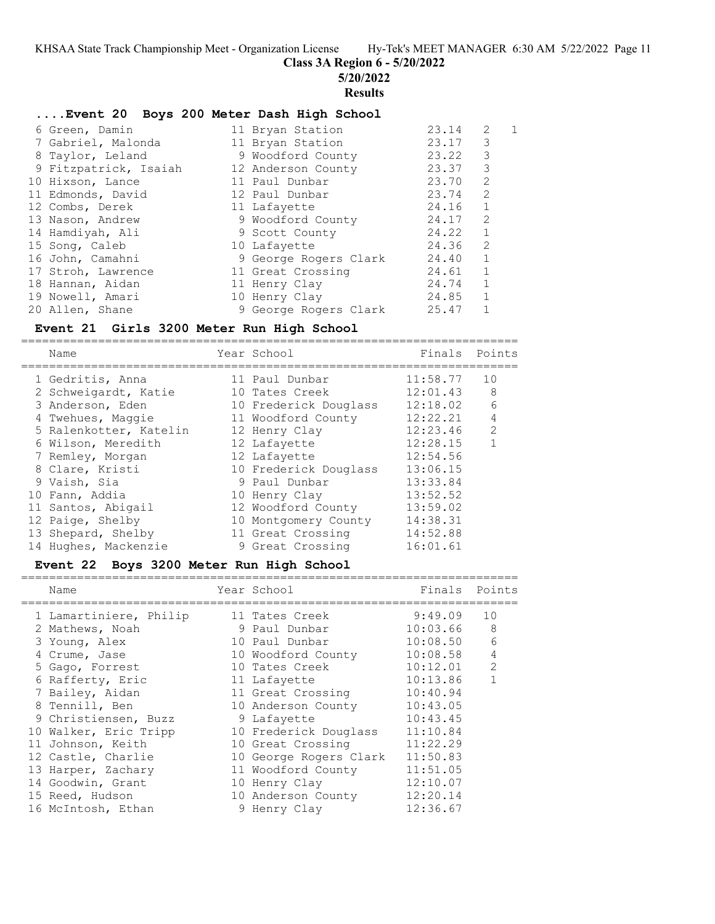**Class 3A Region 6 - 5/20/2022**

**5/20/2022**

#### **Results**

#### **....Event 20 Boys 200 Meter Dash High School**

| 6 Green, Damin        | 11 Bryan Station      | 23.14   | 2            | 1 |
|-----------------------|-----------------------|---------|--------------|---|
| 7 Gabriel, Malonda    | 11 Bryan Station      | 23.17   | 3            |   |
| 8 Taylor, Leland      | 9 Woodford County     | 23.22 3 |              |   |
| 9 Fitzpatrick, Isaiah | 12 Anderson County    | 23.37   | 3            |   |
| 10 Hixson, Lance      | 11 Paul Dunbar        | 23.70   | 2            |   |
| 11 Edmonds, David     | 12 Paul Dunbar        | 23.74 2 |              |   |
| 12 Combs, Derek       | 11 Lafayette          | 24.16 1 |              |   |
| 13 Nason, Andrew      | 9 Woodford County     | 24.17   | 2            |   |
| 14 Hamdiyah, Ali      | 9 Scott County        | 24.22 1 |              |   |
| 15 Song, Caleb        | 10 Lafayette          | 24.36   | 2            |   |
| 16 John, Camahni      | 9 George Rogers Clark | 24.40 1 |              |   |
| 17 Stroh, Lawrence    | 11 Great Crossing     | 24.61 1 |              |   |
| 18 Hannan, Aidan      | 11 Henry Clay         | 24.74   | 1            |   |
| 19 Nowell, Amari      | 10 Henry Clay         | 24.85   | $\mathbf{1}$ |   |
| 20 Allen, Shane       | 9 George Rogers Clark | 25.47   | 1            |   |

#### **Event 21 Girls 3200 Meter Run High School**

Name Year School Finals Points ======================================================================= 1 Gedritis, Anna 11 Paul Dunbar 11:58.77 10 2 Schweigardt, Katie 10 Tates Creek 12:01.43 8 3 Anderson, Eden 10 Frederick Douglass 12:18.02 6 4 Twehues, Maggie 11 Woodford County 12:22.21 4 5 Ralenkotter, Katelin 12 Henry Clay 12:23.46 2

=======================================================================

| J ANUELSUN, BUEN       | IN LIEUELICA DOUGLASS | 14.10.UZ | $\cup$         |
|------------------------|-----------------------|----------|----------------|
| 4 Twehues, Maggie      | 11 Woodford County    | 12:22.21 | $\overline{4}$ |
| 5 Ralenkotter, Katelin | 12 Henry Clay         | 12:23.46 | 2              |
| 6 Wilson, Meredith     | 12 Lafayette          | 12:28.15 | 1              |
| 7 Remley, Morgan       | 12 Lafayette          | 12:54.56 |                |
| 8 Clare, Kristi        | 10 Frederick Douglass | 13:06.15 |                |
| 9 Vaish, Sia           | 9 Paul Dunbar         | 13:33.84 |                |
| 10 Fann, Addia         | 10 Henry Clay         | 13:52.52 |                |
| 11 Santos, Abigail     | 12 Woodford County    | 13:59.02 |                |
| 12 Paige, Shelby       | 10 Montgomery County  | 14:38.31 |                |
| 13 Shepard, Shelby     | 11 Great Crossing     | 14:52.88 |                |
| 14 Hughes, Mackenzie   | 9 Great Crossing      | 16:01.61 |                |
|                        |                       |          |                |

# **Event 22 Boys 3200 Meter Run High School**

|  | Name                   | Year School            | Finals   | Points |
|--|------------------------|------------------------|----------|--------|
|  | 1 Lamartiniere, Philip | 11 Tates Creek         | 9:49.09  | 10     |
|  | 2 Mathews, Noah        | 9 Paul Dunbar          | 10:03.66 | 8      |
|  | 3 Young, Alex          | 10 Paul Dunbar         | 10:08.50 | 6      |
|  | 4 Crume, Jase          | 10 Woodford County     | 10:08.58 | 4      |
|  | 5 Gago, Forrest        | 10 Tates Creek         | 10:12.01 | 2      |
|  | 6 Rafferty, Eric       | 11 Lafayette           | 10:13.86 |        |
|  | 7 Bailey, Aidan        | 11 Great Crossing      | 10:40.94 |        |
|  | 8 Tennill, Ben         | 10 Anderson County     | 10:43.05 |        |
|  | 9 Christiensen, Buzz   | 9 Lafayette            | 10:43.45 |        |
|  | 10 Walker, Eric Tripp  | 10 Frederick Douglass  | 11:10.84 |        |
|  | 11 Johnson, Keith      | 10 Great Crossing      | 11:22.29 |        |
|  | 12 Castle, Charlie     | 10 George Rogers Clark | 11:50.83 |        |
|  | 13 Harper, Zachary     | 11 Woodford County     | 11:51.05 |        |
|  | 14 Goodwin, Grant      | 10 Henry Clay          | 12:10.07 |        |
|  | 15 Reed, Hudson        | 10 Anderson County     | 12:20.14 |        |
|  | 16 McIntosh, Ethan     | 9 Henry Clay           | 12:36.67 |        |
|  |                        |                        |          |        |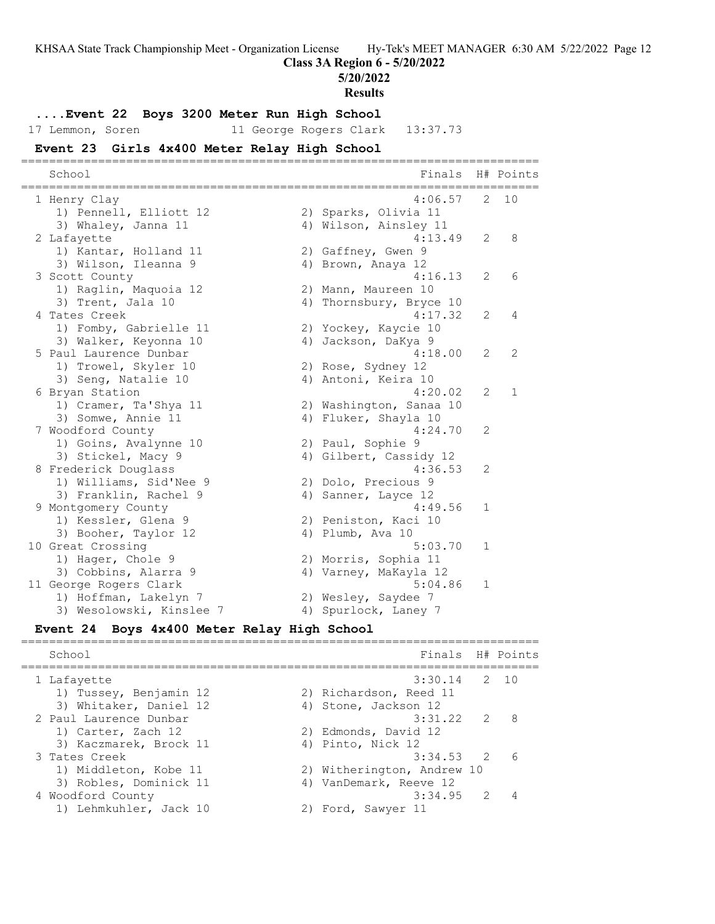**Class 3A Region 6 - 5/20/2022**

**5/20/2022**

**Results**

#### **....Event 22 Boys 3200 Meter Run High School**

17 Lemmon, Soren 11 George Rogers Clark 13:37.73

#### **Event 23 Girls 4x400 Meter Relay High School**

========================================================================== School **Finals** H# Points ========================================================================== 1 Henry Clay 4:06.57 2 10 1) Pennell, Elliott 12 (2) Sparks, Olivia 11 3) Whaley, Janna 11 4) Wilson, Ainsley 11 2 Lafayette 4:13.49 2 8 1) Kantar, Holland 11 2) Gaffney, Gwen 9 3) Wilson, Ileanna 9  $\hskip1cm 4)$  Brown, Anaya 12 3 Scott County 4:16.13 2 6 1) Raglin, Maquoia 12 2) Mann, Maureen 10 3) Trent, Jala 10 4) Thornsbury, Bryce 10 4 Tates Creek 4:17.32 2 4 1) Fomby, Gabrielle 11 2) Yockey, Kaycie 10 3) Walker, Keyonna 10  $\hskip1cm$  4) Jackson, DaKya 9 5 Paul Laurence Dunbar 4:18.00 2 2 1) Trowel, Skyler 10 2) Rose, Sydney 12 3) Seng, Natalie 10 (4) Antoni, Keira 10 6 Bryan Station 4:20.02 2 1 1) Cramer, Ta'Shya 11 2) Washington, Sanaa 10 3) Somwe, Annie 11 11 12 4) Fluker, Shayla 10 7 Woodford County 4:24.70 2 1) Goins, Avalynne 10 2) Paul, Sophie 9 3) Stickel, Macy 9 4) Gilbert, Cassidy 12 8 Frederick Douglass 4:36.53 2 1) Williams, Sid'Nee 9 2) Dolo, Precious 9 3) Franklin, Rachel 9 1944 (1988) 4 Sanner, Layce 12 9 Montgomery County 2008 120 Montgomery County 1) Kessler, Glena 9 2) Peniston, Kaci 10 3) Booher, Taylor 12 (4) Plumb, Ava 10 10 Great Crossing 3.03.70 1 1) Hager, Chole 9 2) Morris, Sophia 11 3) Cobbins, Alarra 9  $\hskip1cm$  4) Varney, MaKayla 12 11 George Rogers Clark 5:04.86 1 1) Hoffman, Lakelyn 7 2) Wesley, Saydee 7 3) Wesolowski, Kinslee 7 (4) Spurlock, Laney 7

#### **Event 24 Boys 4x400 Meter Relay High School** ==========================================================================

School **Finals** H# Points ========================================================================== 1 Lafayette 3:30.14 2 10 1) Tussey, Benjamin 12 2) Richardson, Reed 11 3) Whitaker, Daniel 12 (4) Stone, Jackson 12 2 Paul Laurence Dunbar 3:31.22 2 8 1) Carter, Zach 12 2) Edmonds, David 12 3) Kaczmarek, Brock 11 (4) Pinto, Nick 12 3 Tates Creek 3:34.53 2 6 1) Middleton, Kobe 11 2) Witherington, Andrew 10 3) Robles, Dominick 11 4) VanDemark, Reeve 12 4 Woodford County 3:34.95 2 4 1) Lehmkuhler, Jack 10 2) Ford, Sawyer 11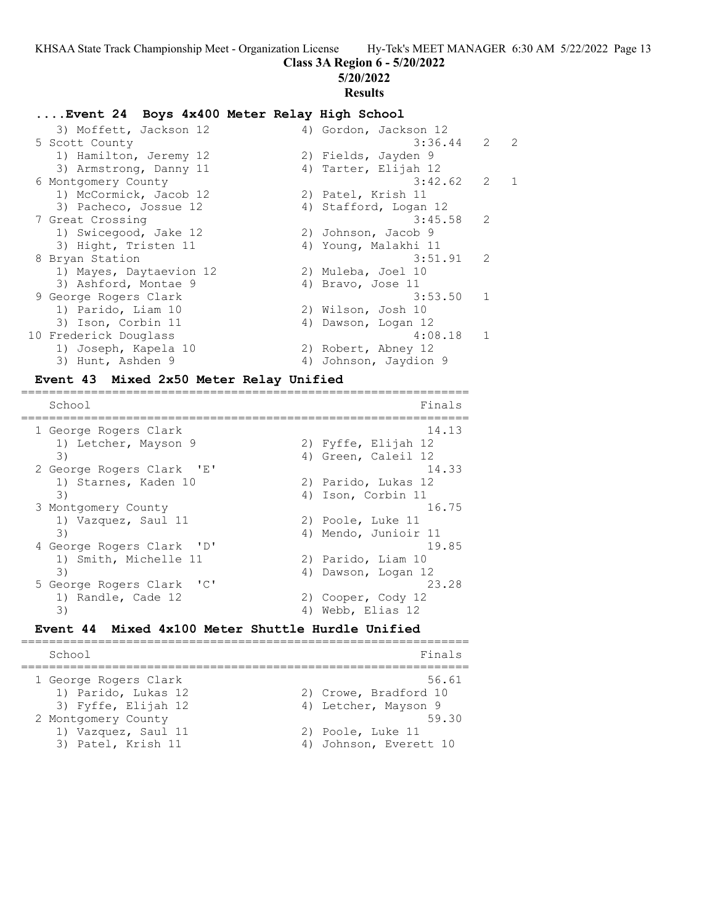## **Class 3A Region 6 - 5/20/2022**

**5/20/2022**

# **Results**

#### **....Event 24 Boys 4x400 Meter Relay High School**

3) Moffett, Jackson 12 (a) 4) Gordon, Jackson 12 (a) 3:36.44 (a) 2 (a) 3:36.44 (a) 2 (a) 3:36.44 (a) 2 (a) 2 (a) 2 (a) 2 (a) 2 (a) 2 (a) 2 (a) 2 (a) 2 (a) 2 (a) 2 (a) 2 (a) 2 (a) 2 (a) 2 (a) 2 (a) 2 (a) 2 (a) 2 (a) 2 (a) 2 5 Scott County 3:36.44 2 2 1) Hamilton, Jeremy 12  $\hskip1cm$  2) Fields, Jayden 9 3) Armstrong, Danny 11 (4) Tarter, Elijah 12 6 Montgomery County 3:42.62 2 1 1) McCormick, Jacob 12 (2) Patel, Krish 11 3) Pacheco, Jossue 12 4) Stafford, Logan 12 7 Great Crossing 3:45.58 2 1) Swicegood, Jake 12 (2) Johnson, Jacob 9 3) Hight, Tristen 11  $\hskip10mm$  4) Young, Malakhi 11 8 Bryan Station 3:51.91 2 1) Mayes, Daytaevion 12 and 2) Muleba, Joel 10 3) Ashford, Montae 9 4) Bravo, Jose 11 9 George Rogers Clark 3:53.50 1 1) Parido, Liam 10 2) Wilson, Josh 10 3) Ison, Corbin 11 4) Dawson, Logan 12 10 Frederick Douglass and the set of the 4:08.18 1 1) Joseph, Kapela 10 2) Robert, Abney 12 3) Hunt, Ashden 9 4) Johnson, Jaydion 9

#### **Event 43 Mixed 2x50 Meter Relay Unified** ================================================================

School Finals ================================================================ 1 George Rogers Clark 14.13 1) Letcher, Mayson 9 2) Fyffe, Elijah 12 3) 4) Green, Caleil 12 2 George Rogers Clark 'E' 14.33 1) Starnes, Kaden 10 (2) Parido, Lukas 12 3) 4) Ison, Corbin 11 3 Montgomery County 16.75 1) Vazquez, Saul 11 2) Poole, Luke 11 3) 4) Mendo, Junioir 11 4 George Rogers Clark 'D' 19.85 1) Smith, Michelle 11 2) Parido, Liam 10 3) 4) Dawson, Logan 12 5 George Rogers Clark 'C' 23.28 1) Randle, Cade 12 2) Cooper, Cody 12 3) 4) Webb, Elias 12

#### **Event 44 Mixed 4x100 Meter Shuttle Hurdle Unified** ================================================================

School Finals ================================================================ 1 George Rogers Clark 56.61 1) Parido, Lukas 12 2) Crowe, Bradford 10 3) Fyffe, Elijah 12 19 4) Letcher, Mayson 9 2 Montgomery County 59.30 1) Vazquez, Saul 11 2) Poole, Luke 11 3) Patel, Krish 11 4) Johnson, Everett 10